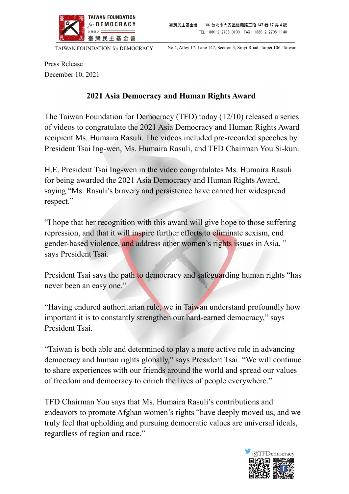

TAIWAN FOUNDATION for DEMOCRACY No.4, Alley 17, Lane 147, Section 3, Sinyi Road, Taipei 106, Taiwan

Press Release December 10, 2021

## 2021 Asia Democracy and Human Rights Award

The Taiwan Foundation for Democracy (TFD) today (12/10) released a series of videos to congratulate the 2021 Asia Democracy and Human Rights Award recipient Ms. Humaira Rasuli. The videos included pre-recorded speeches by President Tsai Ing-wen, Ms. Humaira Rasuli, and TFD Chairman You Si-kun.

H.E. President Tsai Ing-wen in the video congratulates Ms. Humaira Rasuli for being awarded the 2021 Asia Democracy and Human Rights Award, saying "Ms. Rasuli's bravery and persistence have earned her widespread respect."

"I hope that her recognition with this award will give hope to those suffering repression, and that it will inspire further efforts to eliminate sexism, end gender-based violence, and address other women's rights issues in Asia, " says President Tsai.

President Tsai says the path to democracy and safeguarding human rights "has never been an easy one."

"Having endured authoritarian rule, we in Taiwan understand profoundly how important it is to constantly strengthen our hard-earned democracy," says President Tsai.

"Taiwan is both able and determined to play a more active role in advancing democracy and human rights globally," says President Tsai. "We will continue to share experiences with our friends around the world and spread our values of freedom and democracy to enrich the lives of people everywhere."

TFD Chairman You says that Ms. Humaira Rasuli's contributions and endeavors to promote Afghan women's rights "have deeply moved us, and we truly feel that upholding and pursuing democratic values are universal ideals, regardless of region and race."

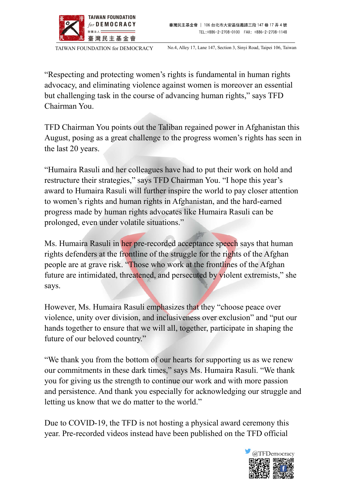

TAIWAN FOUNDATION for DEMOCRACY No.4, Alley 17, Lane 147, Section 3, Sinyi Road, Taipei 106, Taiwan

"Respecting and protecting women's rights is fundamental in human rights advocacy, and eliminating violence against women is moreover an essential but challenging task in the course of advancing human rights," says TFD Chairman You.

TFD Chairman You points out the Taliban regained power in Afghanistan this August, posing as a great challenge to the progress women's rights has seen in the last 20 years.

"Humaira Rasuli and her colleagues have had to put their work on hold and restructure their strategies," says TFD Chairman You. "I hope this year's award to Humaira Rasuli will further inspire the world to pay closer attention to women's rights and human rights in Afghanistan, and the hard-earned progress made by human rights advocates like Humaira Rasuli can be prolonged, even under volatile situations."

Ms. Humaira Rasuli in her pre-recorded acceptance speech says that human rights defenders at the frontline of the struggle for the rights of the Afghan people are at grave risk. "Those who work at the frontlines of the Afghan future are intimidated, threatened, and persecuted by violent extremists," she says.

However, Ms. Humaira Rasuli emphasizes that they "choose peace over violence, unity over division, and inclusiveness over exclusion" and "put our hands together to ensure that we will all, together, participate in shaping the future of our beloved country."

"We thank you from the bottom of our hearts for supporting us as we renew our commitments in these dark times," says Ms. Humaira Rasuli. "We thank you for giving us the strength to continue our work and with more passion and persistence. And thank you especially for acknowledging our struggle and letting us know that we do matter to the world."

Due to COVID-19, the TFD is not hosting a physical award ceremony this year. Pre-recorded videos instead have been published on the TFD official